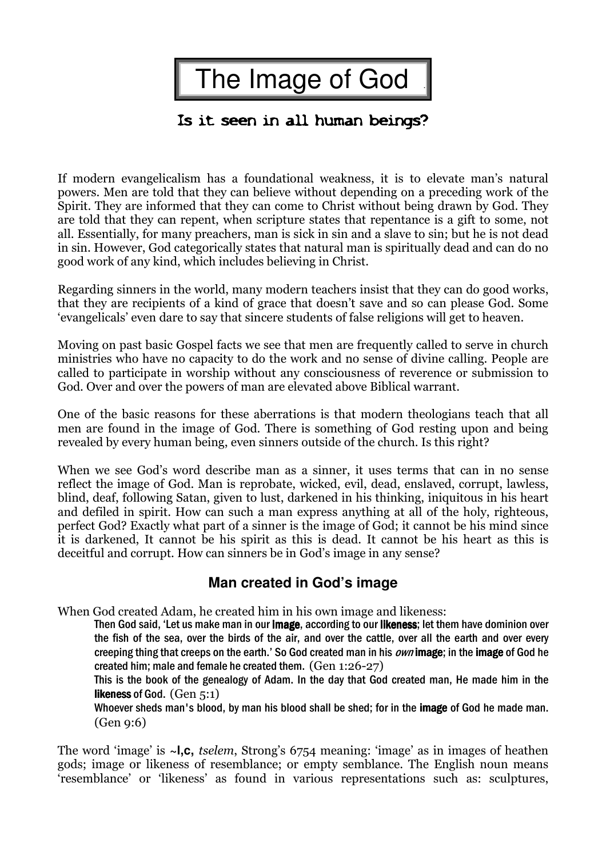| The Image of God

## Is it seen in all human beings?

If modern evangelicalism has a foundational weakness, it is to elevate man's natural powers. Men are told that they can believe without depending on a preceding work of the Spirit. They are informed that they can come to Christ without being drawn by God. They are told that they can repent, when scripture states that repentance is a gift to some, not all. Essentially, for many preachers, man is sick in sin and a slave to sin; but he is not dead in sin. However, God categorically states that natural man is spiritually dead and can do no good work of any kind, which includes believing in Christ.

Regarding sinners in the world, many modern teachers insist that they can do good works, that they are recipients of a kind of grace that doesn't save and so can please God. Some 'evangelicals' even dare to say that sincere students of false religions will get to heaven.

Moving on past basic Gospel facts we see that men are frequently called to serve in church ministries who have no capacity to do the work and no sense of divine calling. People are called to participate in worship without any consciousness of reverence or submission to God. Over and over the powers of man are elevated above Biblical warrant.

One of the basic reasons for these aberrations is that modern theologians teach that all men are found in the image of God. There is something of God resting upon and being revealed by every human being, even sinners outside of the church. Is this right?

When we see God's word describe man as a sinner, it uses terms that can in no sense reflect the image of God. Man is reprobate, wicked, evil, dead, enslaved, corrupt, lawless, blind, deaf, following Satan, given to lust, darkened in his thinking, iniquitous in his heart and defiled in spirit. How can such a man express anything at all of the holy, righteous, perfect God? Exactly what part of a sinner is the image of God; it cannot be his mind since it is darkened, It cannot be his spirit as this is dead. It cannot be his heart as this is deceitful and corrupt. How can sinners be in God's image in any sense?

### **Man created in God's image**

When God created Adam, he created him in his own image and likeness:

Then God said, 'Let us make man in our image, according to our likeness; let them have dominion over the fish of the sea, over the birds of the air, and over the cattle, over all the earth and over every creeping thing that creeps on the earth.' So God created man in his *own* image; in the image of God he created him; male and female he created them. (Gen 1:26-27)

This is the book of the genealogy of Adam. In the day that God created man, He made him in the likeness of God.  $(Gen 5:1)$ 

Whoever sheds man's blood, by man his blood shall be shed; for in the image of God he made man. (Gen 9:6)

The word 'image' is **~l,c,** tselem, Strong's 6754 meaning: 'image' as in images of heathen gods; image or likeness of resemblance; or empty semblance. The English noun means 'resemblance' or 'likeness' as found in various representations such as: sculptures,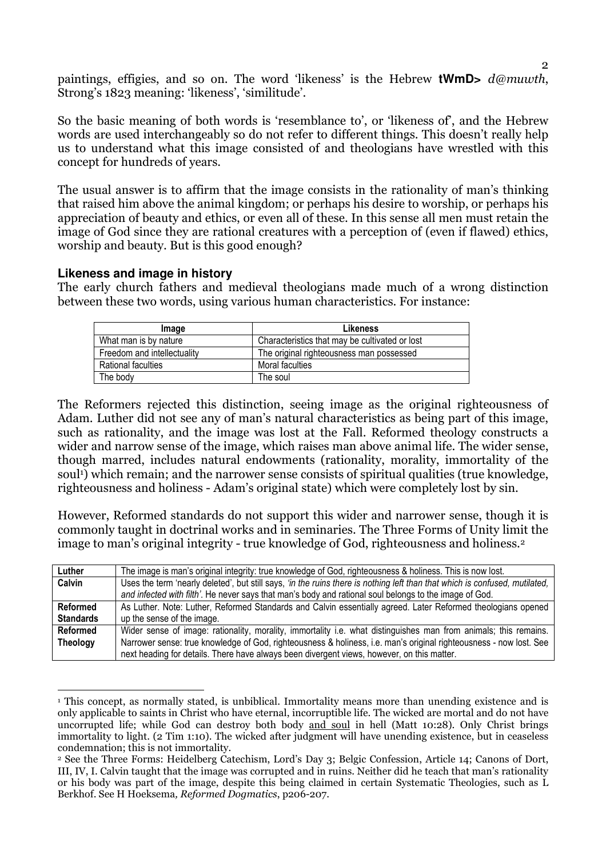paintings, effigies, and so on. The word 'likeness' is the Hebrew **tWmD>** d@muwth, Strong's 1823 meaning: 'likeness', 'similitude'.

So the basic meaning of both words is 'resemblance to', or 'likeness of', and the Hebrew words are used interchangeably so do not refer to different things. This doesn't really help us to understand what this image consisted of and theologians have wrestled with this concept for hundreds of years.

The usual answer is to affirm that the image consists in the rationality of man's thinking that raised him above the animal kingdom; or perhaps his desire to worship, or perhaps his appreciation of beauty and ethics, or even all of these. In this sense all men must retain the image of God since they are rational creatures with a perception of (even if flawed) ethics, worship and beauty. But is this good enough?

#### **Likeness and image in history**

The early church fathers and medieval theologians made much of a wrong distinction between these two words, using various human characteristics. For instance:

| Image                       | Likeness                                       |
|-----------------------------|------------------------------------------------|
| What man is by nature       | Characteristics that may be cultivated or lost |
| Freedom and intellectuality | The original righteousness man possessed       |
| Rational faculties          | Moral faculties                                |
| The body                    | The soul                                       |

The Reformers rejected this distinction, seeing image as the original righteousness of Adam. Luther did not see any of man's natural characteristics as being part of this image, such as rationality, and the image was lost at the Fall. Reformed theology constructs a wider and narrow sense of the image, which raises man above animal life. The wider sense, though marred, includes natural endowments (rationality, morality, immortality of the soul<sup>1</sup>) which remain; and the narrower sense consists of spiritual qualities (true knowledge, righteousness and holiness - Adam's original state) which were completely lost by sin.

However, Reformed standards do not support this wider and narrower sense, though it is commonly taught in doctrinal works and in seminaries. The Three Forms of Unity limit the image to man's original integrity - true knowledge of God, righteousness and holiness.<sup>2</sup>

| Luther           | The image is man's original integrity: true knowledge of God, righteousness & holiness. This is now lost.                   |
|------------------|-----------------------------------------------------------------------------------------------------------------------------|
| Calvin           | Uses the term 'nearly deleted', but still says, 'in the ruins there is nothing left than that which is confused, mutilated, |
|                  | and infected with filth'. He never says that man's body and rational soul belongs to the image of God.                      |
| <b>Reformed</b>  | As Luther. Note: Luther, Reformed Standards and Calvin essentially agreed. Later Reformed theologians opened                |
| <b>Standards</b> | up the sense of the image.                                                                                                  |
| <b>Reformed</b>  | Wider sense of image: rationality, morality, immortality i.e. what distinguishes man from animals; this remains.            |
| <b>Theology</b>  | Narrower sense: true knowledge of God, righteousness & holiness, i.e. man's original righteousness - now lost. See          |
|                  | next heading for details. There have always been divergent views, however, on this matter.                                  |

 $\overline{a}$ 1 This concept, as normally stated, is unbiblical. Immortality means more than unending existence and is only applicable to saints in Christ who have eternal, incorruptible life. The wicked are mortal and do not have uncorrupted life; while God can destroy both body and soul in hell (Matt 10:28). Only Christ brings immortality to light. (2 Tim 1:10). The wicked after judgment will have unending existence, but in ceaseless condemnation; this is not immortality.

<sup>2</sup> See the Three Forms: Heidelberg Catechism, Lord's Day 3; Belgic Confession, Article 14; Canons of Dort, III, IV, I. Calvin taught that the image was corrupted and in ruins. Neither did he teach that man's rationality or his body was part of the image, despite this being claimed in certain Systematic Theologies, such as L Berkhof. See H Hoeksema, Reformed Dogmatics, p206-207.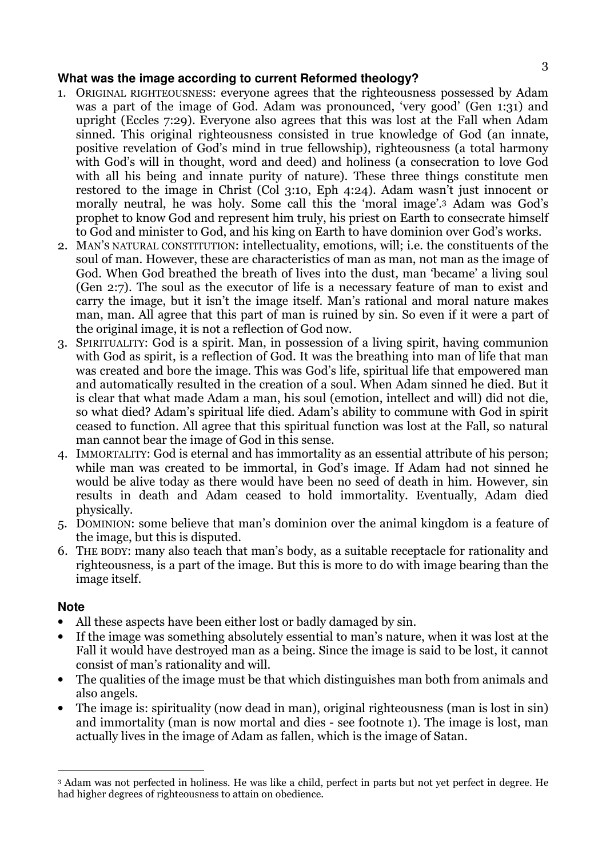#### **What was the image according to current Reformed theology?**

- 1. ORIGINAL RIGHTEOUSNESS: everyone agrees that the righteousness possessed by Adam was a part of the image of God. Adam was pronounced, 'very good' (Gen 1:31) and upright (Eccles 7:29). Everyone also agrees that this was lost at the Fall when Adam sinned. This original righteousness consisted in true knowledge of God (an innate, positive revelation of God's mind in true fellowship), righteousness (a total harmony with God's will in thought, word and deed) and holiness (a consecration to love God with all his being and innate purity of nature). These three things constitute men restored to the image in Christ (Col 3:10, Eph 4:24). Adam wasn't just innocent or morally neutral, he was holy. Some call this the 'moral image'.3 Adam was God's prophet to know God and represent him truly, his priest on Earth to consecrate himself to God and minister to God, and his king on Earth to have dominion over God's works.
- 2. MAN'S NATURAL CONSTITUTION: intellectuality, emotions, will; i.e. the constituents of the soul of man. However, these are characteristics of man as man, not man as the image of God. When God breathed the breath of lives into the dust, man 'became' a living soul (Gen 2:7). The soul as the executor of life is a necessary feature of man to exist and carry the image, but it isn't the image itself. Man's rational and moral nature makes man, man. All agree that this part of man is ruined by sin. So even if it were a part of the original image, it is not a reflection of God now.
- 3. SPIRITUALITY: God is a spirit. Man, in possession of a living spirit, having communion with God as spirit, is a reflection of God. It was the breathing into man of life that man was created and bore the image. This was God's life, spiritual life that empowered man and automatically resulted in the creation of a soul. When Adam sinned he died. But it is clear that what made Adam a man, his soul (emotion, intellect and will) did not die, so what died? Adam's spiritual life died. Adam's ability to commune with God in spirit ceased to function. All agree that this spiritual function was lost at the Fall, so natural man cannot bear the image of God in this sense.
- 4. IMMORTALITY: God is eternal and has immortality as an essential attribute of his person; while man was created to be immortal, in God's image. If Adam had not sinned he would be alive today as there would have been no seed of death in him. However, sin results in death and Adam ceased to hold immortality. Eventually, Adam died physically.
- 5. DOMINION: some believe that man's dominion over the animal kingdom is a feature of the image, but this is disputed.
- 6. THE BODY: many also teach that man's body, as a suitable receptacle for rationality and righteousness, is a part of the image. But this is more to do with image bearing than the image itself.

### **Note**

- All these aspects have been either lost or badly damaged by sin.
- If the image was something absolutely essential to man's nature, when it was lost at the Fall it would have destroyed man as a being. Since the image is said to be lost, it cannot consist of man's rationality and will.
- The qualities of the image must be that which distinguishes man both from animals and also angels.
- The image is: spirituality (now dead in man), original righteousness (man is lost in sin) and immortality (man is now mortal and dies - see footnote 1). The image is lost, man actually lives in the image of Adam as fallen, which is the image of Satan.

 $\overline{a}$ <sup>3</sup> Adam was not perfected in holiness. He was like a child, perfect in parts but not yet perfect in degree. He had higher degrees of righteousness to attain on obedience.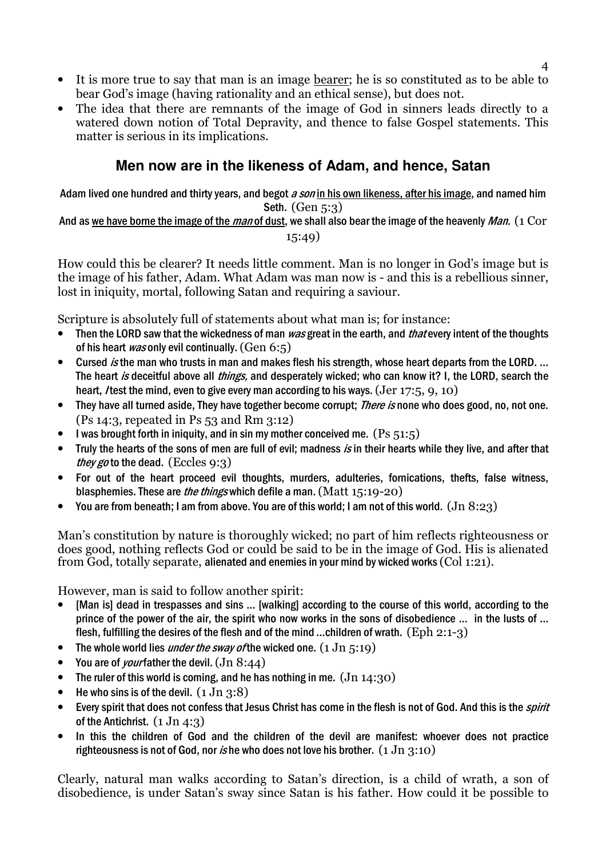- It is more true to say that man is an image bearer; he is so constituted as to be able to bear God's image (having rationality and an ethical sense), but does not.
- The idea that there are remnants of the image of God in sinners leads directly to a watered down notion of Total Depravity, and thence to false Gospel statements. This matter is serious in its implications.

### **Men now are in the likeness of Adam, and hence, Satan**

Adam lived one hundred and thirty years, and begot a son in his own likeness, after his image, and named him Seth. (Gen 5:3)

#### And as we have borne the image of the man of dust, we shall also bear the image of the heavenly Man. (1 Cor 15:49)

How could this be clearer? It needs little comment. Man is no longer in God's image but is the image of his father, Adam. What Adam was man now is - and this is a rebellious sinner, lost in iniquity, mortal, following Satan and requiring a saviour.

Scripture is absolutely full of statements about what man is; for instance:

- Then the LORD saw that the wickedness of man was great in the earth, and *that* every intent of the thoughts of his heart *was* only evil continually.  $(Gen 6:5)$
- Cursed *is* the man who trusts in man and makes flesh his strength, whose heart departs from the LORD. ... The heart is deceitful above all *things*, and desperately wicked; who can know it? I, the LORD, search the heart, *I* test the mind, even to give every man according to his ways.  $(Jer 17:5, 9, 10)$
- They have all turned aside. They have together become corrupt; *There is* none who does good, no, not one. (Ps 14:3, repeated in Ps 53 and Rm 3:12)
- I was brought forth in iniquity, and in sin my mother conceived me.  $(Ps 51:5)$
- Truly the hearts of the sons of men are full of evil; madness is in their hearts while they live, and after that they go to the dead. (Eccles  $9:3$ )
- For out of the heart proceed evil thoughts, murders, adulteries, fornications, thefts, false witness, blasphemies. These are the things which defile a man. (Matt 15:19-20)
- You are from beneath; I am from above. You are of this world; I am not of this world. (Jn 8:23)

Man's constitution by nature is thoroughly wicked; no part of him reflects righteousness or does good, nothing reflects God or could be said to be in the image of God. His is alienated from God, totally separate, alienated and enemies in your mind by wicked works (Col 1:21).

However, man is said to follow another spirit:

- [Man is] dead in trespasses and sins ... [walking] according to the course of this world, according to the prince of the power of the air, the spirit who now works in the sons of disobedience … in the lusts of … flesh, fulfilling the desires of the flesh and of the mind ...children of wrath.  $(Eph 2:1-3)$
- The whole world lies *under the sway of* the wicked one.  $(1 \text{ Jn } 5:19)$
- You are of *your* father the devil.  $($ Jn  $8:44)$
- The ruler of this world is coming, and he has nothing in me.  $(Jn 14:30)$
- He who sins is of the devil.  $(1 \text{ Jn } 3:8)$
- Every spirit that does not confess that Jesus Christ has come in the flesh is not of God. And this is the *spirit* of the Antichrist.  $(1 \text{ Jn } 4:3)$
- In this the children of God and the children of the devil are manifest: whoever does not practice righteousness is not of God, nor is he who does not love his brother.  $(1 \text{ Jn } 3:10)$

Clearly, natural man walks according to Satan's direction, is a child of wrath, a son of disobedience, is under Satan's sway since Satan is his father. How could it be possible to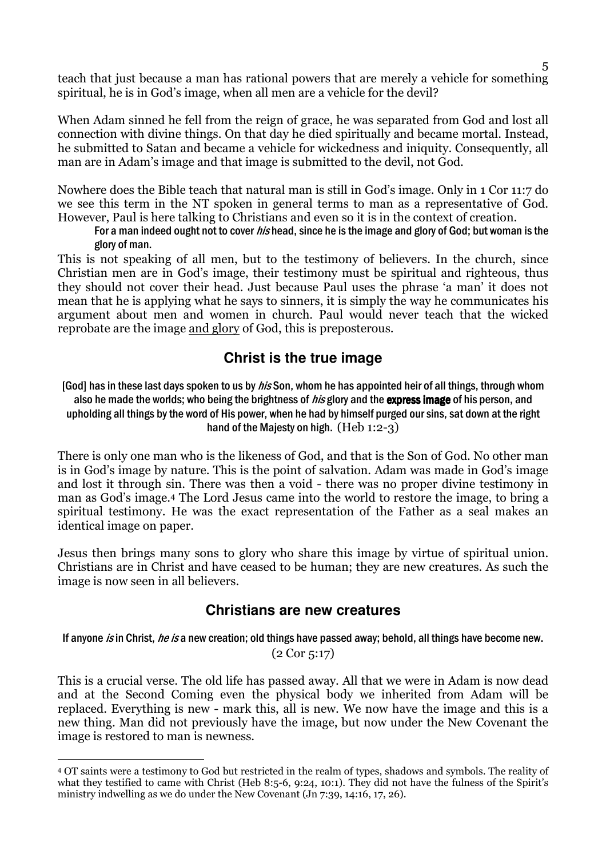teach that just because a man has rational powers that are merely a vehicle for something spiritual, he is in God's image, when all men are a vehicle for the devil?

When Adam sinned he fell from the reign of grace, he was separated from God and lost all connection with divine things. On that day he died spiritually and became mortal. Instead, he submitted to Satan and became a vehicle for wickedness and iniquity. Consequently, all man are in Adam's image and that image is submitted to the devil, not God.

Nowhere does the Bible teach that natural man is still in God's image. Only in 1 Cor 11:7 do we see this term in the NT spoken in general terms to man as a representative of God. However, Paul is here talking to Christians and even so it is in the context of creation.

For a man indeed ought not to cover *his* head, since he is the image and glory of God; but woman is the glory of man.

This is not speaking of all men, but to the testimony of believers. In the church, since Christian men are in God's image, their testimony must be spiritual and righteous, thus they should not cover their head. Just because Paul uses the phrase 'a man' it does not mean that he is applying what he says to sinners, it is simply the way he communicates his argument about men and women in church. Paul would never teach that the wicked reprobate are the image and glory of God, this is preposterous.

### **Christ is the true image**

[God] has in these last days spoken to us by *his* Son, whom he has appointed heir of all things, through whom also he made the worlds; who being the brightness of *his* glory and the **express image** of his person, and upholding all things by the word of His power, when he had by himself purged our sins, sat down at the right hand of the Majesty on high. (Heb 1:2-3)

There is only one man who is the likeness of God, and that is the Son of God. No other man is in God's image by nature. This is the point of salvation. Adam was made in God's image and lost it through sin. There was then a void - there was no proper divine testimony in man as God's image.4 The Lord Jesus came into the world to restore the image, to bring a spiritual testimony. He was the exact representation of the Father as a seal makes an identical image on paper.

Jesus then brings many sons to glory who share this image by virtue of spiritual union. Christians are in Christ and have ceased to be human; they are new creatures. As such the image is now seen in all believers.

### **Christians are new creatures**

If anyone is in Christ, he is a new creation; old things have passed away; behold, all things have become new. (2 Cor 5:17)

This is a crucial verse. The old life has passed away. All that we were in Adam is now dead and at the Second Coming even the physical body we inherited from Adam will be replaced. Everything is new - mark this, all is new. We now have the image and this is a new thing. Man did not previously have the image, but now under the New Covenant the image is restored to man is newness.

 $\overline{a}$ <sup>4</sup> OT saints were a testimony to God but restricted in the realm of types, shadows and symbols. The reality of what they testified to came with Christ (Heb 8:5-6, 9:24, 10:1). They did not have the fulness of the Spirit's ministry indwelling as we do under the New Covenant (Jn 7:39, 14:16, 17, 26).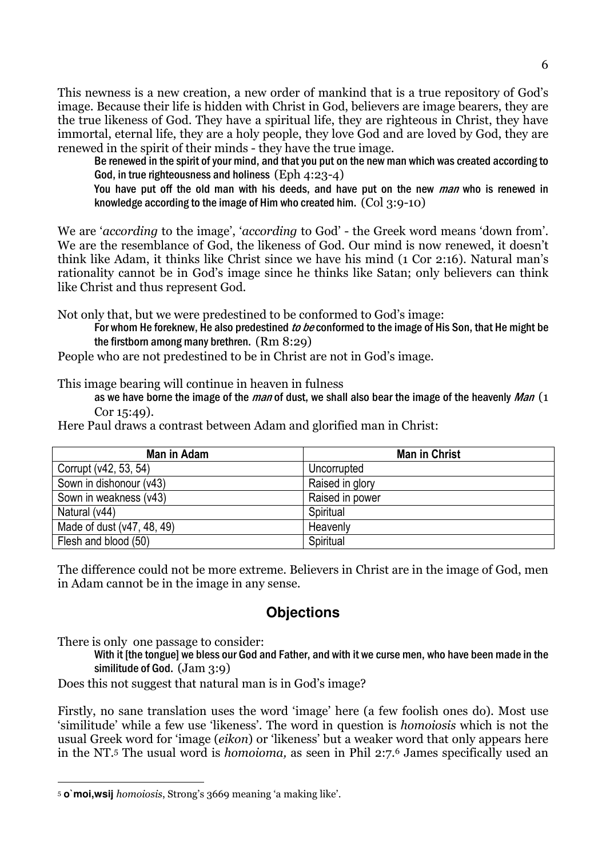This newness is a new creation, a new order of mankind that is a true repository of God's image. Because their life is hidden with Christ in God, believers are image bearers, they are the true likeness of God. They have a spiritual life, they are righteous in Christ, they have immortal, eternal life, they are a holy people, they love God and are loved by God, they are renewed in the spirit of their minds - they have the true image.

Be renewed in the spirit of your mind, and that you put on the new man which was created according to God, in true righteousness and holiness (Eph 4:23-4)

You have put off the old man with his deeds, and have put on the new *man* who is renewed in knowledge according to the image of Him who created him. (Col 3:9-10)

We are 'according to the image', 'according to God' - the Greek word means 'down from'. We are the resemblance of God, the likeness of God. Our mind is now renewed, it doesn't think like Adam, it thinks like Christ since we have his mind (1 Cor 2:16). Natural man's rationality cannot be in God's image since he thinks like Satan; only believers can think like Christ and thus represent God.

Not only that, but we were predestined to be conformed to God's image:

For whom He foreknew, He also predestined to be conformed to the image of His Son, that He might be the firstborn among many brethren. (Rm 8:29)

People who are not predestined to be in Christ are not in God's image.

This image bearing will continue in heaven in fulness

as we have borne the image of the man of dust, we shall also bear the image of the heavenly Man  $(1)$ Cor 15:49).

Here Paul draws a contrast between Adam and glorified man in Christ:

| Man in Adam                | <b>Man in Christ</b> |
|----------------------------|----------------------|
| Corrupt (v42, 53, 54)      | Uncorrupted          |
| Sown in dishonour (v43)    | Raised in glory      |
| Sown in weakness (v43)     | Raised in power      |
| Natural (v44)              | Spiritual            |
| Made of dust (v47, 48, 49) | Heavenly             |
| Flesh and blood (50)       | Spiritual            |

The difference could not be more extreme. Believers in Christ are in the image of God, men in Adam cannot be in the image in any sense.

# **Objections**

There is only one passage to consider:

With it [the tongue] we bless our God and Father, and with it we curse men, who have been made in the similitude of God. (Jam 3:9)

Does this not suggest that natural man is in God's image?

Firstly, no sane translation uses the word 'image' here (a few foolish ones do). Most use 'similitude' while a few use 'likeness'. The word in question is homoiosis which is not the usual Greek word for 'image (eikon) or 'likeness' but a weaker word that only appears here in the NT.5 The usual word is homoioma, as seen in Phil 2:7.6 James specifically used an

 $\overline{a}$ <sup>5</sup> **o`moi,wsij** homoiosis, Strong's 3669 meaning 'a making like'.